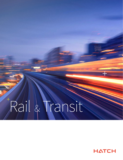# Rail & Transit

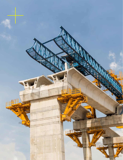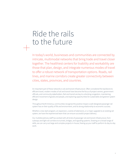## Ride the rails to the future

In today's world, businesses and communities are connected by intricate, multimodal networks that bring trade and travel closer together. The healthiest centers for livability and workability are those that plan, design, and integrate numerous modes of travel to offer a robust network of transportation options. Roads, rail lines, and marine corridors create greater connectivity between cities, states, provinces, and countries.

An important part of these networks is rail and transit infrastructure. Often considered the backbone to efficient travel, modern modes of rail and transit have become the focus of project owners, government officials, and community stakeholders. Rail and transit are key to unlocking congestion, maintaining efficient movement of goods and people, and exploring opportunities for sustainable and greener system design.

Throughout North America, communities recognize the positive impact a well-designed passenger rail system has on their quality of life and environment, and its strong relationship to economic success.

Whether a new-start program, an expansion, a series of extensions, or a major upgrade to an existing rail system, we have the experienced team that can ensure successful project delivery.

Our multidisciplinary staff has worked with all kinds of passenger rail and transit infrastructure, from subways and light rail corridors to tunnels, bridges, and signaling systems. Drawing on a broad range of skills, we can carry out large and complex projects in-house, freeing up your staff to perform its day-to-day work.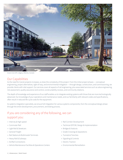

Green Line LRT, Calgary, Alberta, Canada

#### Our Capabilities

As the need for transit projects increases, so does the complexity of the project. From the initial project phases — conceptual engineering, project alternatives, right-of-way, and environmental mitigation — through design, construction, and commissioning, we provide clients with vital support. Our services cover all aspects of rail engineering, plus associated services such as value engineering, risk assessment, quality assurance and control, constructability reviews, and community relations.

The depth of knowledge and experience of our staff enables us to integrate existing systems with those that are more technologically advanced. Our knowledge of your operations and maintenance needs, and our familiarity with relevant codes and specifications, often result in reduced life-cycle costs for the equipment.

As systems integration specialists, we ensure full integration for various systems components, from the conceptual design phase through the entire development, procurement, and testing process.

#### If you are considering any of the following, we can support you:

- Intercity & High-speed
- Commuter Rail
- Light Rail & Streetcars
- General Freight
- Rail Stations & Multimodal Terminals
- Heavy Rail & Subways
- Air/Rail Connections
- Vehicle Maintenance Facilities & Operations Centers
- Rail Corridor Development
- Technical (EPCM): Design & Implementation
- Bridges & Viaducts
- Grade Crossings & Separations
- Tunnels & Trenches
- Signaling & Controls
- Electric Traction
- Environmental Remediation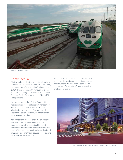

Go Transit, Ontario, Canada

#### Commuter Rail

Efficient and cost-effective commuter rail is vital to economic development in urban areas. In Toronto, the biggest city in Canada, Union Station supports 250 GO Transit commuter train movements, links GO Transit to the city's subway system, and serves Canadian Pacific, Canadian National, VIA, and ON Rail operations.

As a key member of the HDI Joint Venture, Hatch was responsible for overall program management for the \$750 million Union Station Rail Corridor Infrastructure Improvement Program, including trackwork, electronic systems, fire and life safety, and a heritage train shed.

According to the City of Toronto, "Union Station's revitalization will result in many benefits to commuters, including bigger, brighter transit concourses, more exits and entrance to the station, new PATH connections, repair and rehabilitation of an aging facility, and the introduction of an exciting and revitalized retail presence."

Hatch's participation helped minimize disruption to train service and inconvenience to passengers, and ensure that the new Union Station will not only be beautiful but safe, efficient, sustainable, and highly functional.



VIVA Next Vaughn Metropolitan Centre, Toronto, Ontario, Canada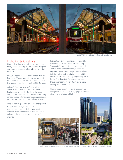

West LRT 45<sup>th</sup> Street Station, Calgary, Alberta, Canada

#### Light Rail & Streetcars

More flexible than heavy rail and less expensive to build, light rail transit (LRT) has become a popular and important transportation alternative in North America.

In 1981, Calgary launched its rail system with the first line of C-Train, making the system among the first in North America to use LRT. A second C-Train line was completed in time for the 1988 Olympics.

Calgary's West Line was the first new line to be added to the C-Train in 25 years. As Owner's Engineer, we responsible for the preliminary design of all project elements and for developing schedules, cost estimates, contracts, proposals and proposal reviews, and constructability reviews.

We also were responsible for public engagement support, risk management, construction monitoring and administration, and quality auditing. Riders can now travel from downtown Calgary to the 69th Street Station in only 18 minutes.

In the US, we play a leading role in projects for major clients such as the Santa Clara Valley Transportation Authority and Seattle's Sound Transit. Hatch is the prime designer for LA's Regional Connector LRT project, a design-build initiative with a budget totaling almost a billion dollars. We are also providing engineering services for the Crenshaw/LAX Transit Corridor, extending the corridor approximately 8.5 miles from the existing Metro Green Line.

We also helps cities make use of streetcars, an energy-efficient and increasingly popular element of urban revitalization initiatives.



2010 Olympic Streetcar, Vancouver, British Columbia, Canada LA Metro Regional Connector, California, USA

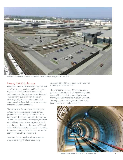

Division 16: Southwestern Yard – Crenshaw/LAX Transit Corridor, Los Angeles, California, USA

#### Heavy Rail & Subways

Almost two dozen North American cities, from New York City to Atlanta, Montreal, and San Francisco, rely on rapid transit systems to move people quickly and safely through the urban environment. Transit systems give commuters the option of moving easily around a city and suburbs. It entices people to forgo their cars, in turn reducing emissions and traffic congestion.

The extension of Toronto's Spadina subway line outside the city limits is the biggest expansion project ever undertaken by the Toronto Transit Commission. The Spadina extension includes two 18-foot-diameter tunnels, six emergency exit shafts and buildings, seven cross-passages, two launch shafts for tunnel boring machines, and a 919-foot section of triple tunnel. Hatch, a leader in tunneling technology, designed the twin tunnels using a sixsegment universal ring arrangement.

Service on the new Spadina subway extension is expected to begin the fall of 2016, using

comfortable new Toronto Rocket trains. Trains will run every four to five minutes.

The extended line will save 30 million car trips a year to and from the city. It will provide convenient, energy-efficient public transportation for more than 60,000 students and faculty at York University. The project is expected to generate about 20,000 jobs during the course of construction.



Spadina Subway Extension, Toronto, Ontario, Canada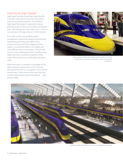#### Intercity & High-Speed

High-speed rail offers potentially major benefits in traveler convenience, economic stimulation, and environmental protection. The California High-Speed Rail project is expected to reduce greenhouse gas emissions by 12 billion pounds per year — the equivalent of one million cars — and cut consumption of foreign oil by 12.7 million barrels.

From 2007 to 2015, we provided project management, preliminary design, environmental engineering, permitting, and right-of-way acquisition services for three segments of the system, including Palmdale to Los Angeles, the most difficult section in the system. This 65-mile section covers challenging terrain, including rivers, steep mountains, sensitive ecosystems, three major seismic fault lines, and densely populated cities.

When the project is complete, a passenger will be able to board an express train in San Francisco and step off the train in Los Angeles 2 hours and 40 minutes later. That's three to four hours less than a driver would need to cover that distance — even without traffic.



High-speed rail offers potentially major benefits in traveler convenience, economic stimulation, and environmental protection.



California High-Speed Rail Train, Fresno to Orange County, USA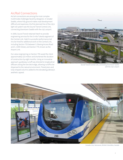#### Air/Rail Connections

Air/rail connections are among the most complex multimodal challenges faced by designers. In Greater Seattle, where hilly ground makes road development difficult and expensive, the first planned line of the city's light rail system was the Sound Transit Central Link, connecting downtown Seattle with the city's airport.

In 2000, Sound Transit retained Hatch to provide engineering services for the 5-mile Tukwila segment of the Central Link. Hatch's successful performance led it to be hired for additional work on the Central Link, including Section 755 between S. Boeing Access Road and S. 154th Street, and Section 770, known as the Airport Link.

Our value engineering on Section 755 saved the client approximately \$23 million and shortened the duration of construction by eight months. Using an innovative approach, guideway runoff was directed to longitudinal diffusers along the low deck edge, allowing runoff to be dispersed to the natural environment. Flared piers and tulip-shaped columns added to the elevated guideway's aesthetic appeal.



 Sound Transit Central Link, connecting downtown Seattle with the city's airport



Canada Line, Vancouver, British Columbia, Canada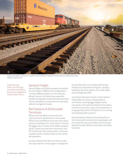

A preferred engineering firm for Canadian National Railway, Canadian Pacific Railway and British Columbia Railway Properties Ltd.

Guided by your vision, we challenge conventional thinking. We innovate together to create a better future.

#### General Freight

General freight rail corridors transport a multitude of commodities in different train configurations, running at different speeds, in a time and costefficient manner. Our clients have reaped the benefits of integrated and optimized solutions that we have developed in conjunction with operating staff and management teams.

#### Rail Stations & Multimodal **Terminals**

Efficient and cost-effective commuter rail is vital to economic development in urban areas. Efficient and cost-effective commuter rail is vital to economic development in urban areas. In Toronto, the biggest city in Canada, Union Station supports 250 GO Transit commuter train movements, links GO Transit to the city's subway system, and serves Canadian Pacific, Canadian National, VIA, and ON Rail operations.

As a key member of the HDI Joint Venture, Hatch was responsible for overall program management for the \$750 million Union Station Rail Corridor Infrastructure Improvement Program, including trackwork, electronic systems, fire and life safety, and a heritage train shed.

According to the City of Toronto, "Union Station's revitalization will result in many benefits to commuters, including bigger, brighter transit concourses, more exits and entrance to the station, new PATH connections, repair and rehabilitation of an aging facility, and the introduction of an exciting and revitalized retail presence."

Our participation helped minimize disruption to train service and inconvenience to passengers, and ensure that the new Union Station will not only be beautiful but safe, efficient, sustainable, and highly functional.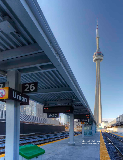Union Station Rail Corridor Infrastructure Improvement Program, Toronto, Ontario, Canada

11145

 $\frac{1}{26}$  26  $\rightarrow$  1

 $\leftarrow 27$ 

**The True** 

26

 $U_{\text{N}}$ 

 $\lrcorner$ 

5

9